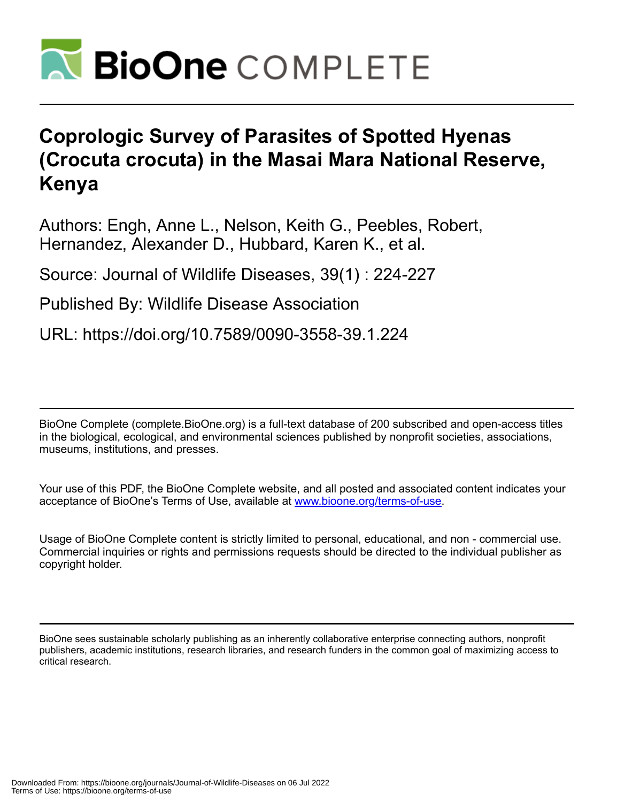

## **Coprologic Survey of Parasites of Spotted Hyenas (Crocuta crocuta) in the Masai Mara National Reserve, Kenya**

Authors: Engh, Anne L., Nelson, Keith G., Peebles, Robert, Hernandez, Alexander D., Hubbard, Karen K., et al.

Source: Journal of Wildlife Diseases, 39(1) : 224-227

Published By: Wildlife Disease Association

URL: https://doi.org/10.7589/0090-3558-39.1.224

BioOne Complete (complete.BioOne.org) is a full-text database of 200 subscribed and open-access titles in the biological, ecological, and environmental sciences published by nonprofit societies, associations, museums, institutions, and presses.

Your use of this PDF, the BioOne Complete website, and all posted and associated content indicates your acceptance of BioOne's Terms of Use, available at www.bioone.org/terms-of-use.

Usage of BioOne Complete content is strictly limited to personal, educational, and non - commercial use. Commercial inquiries or rights and permissions requests should be directed to the individual publisher as copyright holder.

BioOne sees sustainable scholarly publishing as an inherently collaborative enterprise connecting authors, nonprofit publishers, academic institutions, research libraries, and research funders in the common goal of maximizing access to critical research.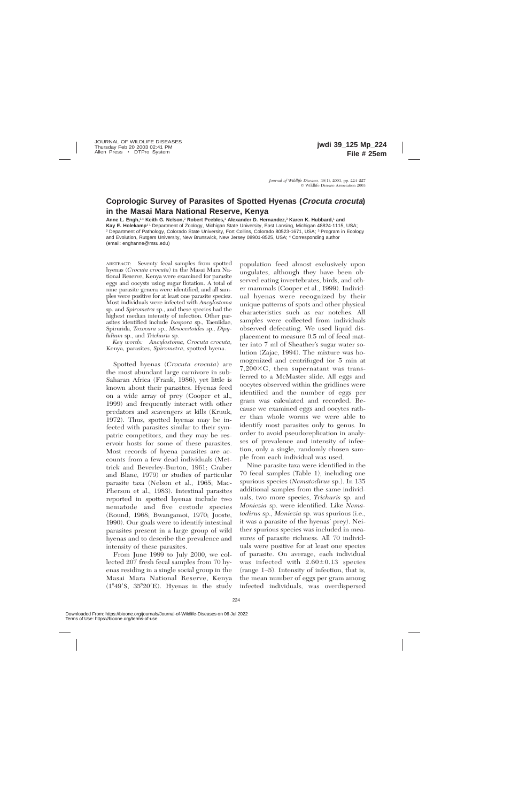## **Coprologic Survey of Parasites of Spotted Hyenas (Crocuta crocuta) in the Masai Mara National Reserve, Kenya**

**Anne L. Engh,**1,4 **Keith G. Nelson,**<sup>2</sup> **Robert Peebles,**<sup>1</sup> **Alexander D. Hernandez,**<sup>3</sup> **Karen K. Hubbard,**<sup>1</sup> **and** Kay E. Holekamp<sup>11</sup> Department of Zoology, Michigan State University, East Lansing, Michigan 48824-1115, USA; <sup>2</sup> Department of Pathology, Colorado State University, Fort Collins, Colorado 80523-1671, USA; <sup>3</sup> Program in Ecology and Evolution, Rutgers University, New Brunswick, New Jersey 08901-8525, USA; <sup>4</sup> Corresponding author (email: enghanne@msu.edu)

ABSTRACT: Seventy fecal samples from spotted hyenas (*Crocuta crocuta*) in the Masai Mara National Reserve, Kenya were examined for parasite eggs and oocysts using sugar flotation. A total of nine parasite genera were identified, and all samples were positive for at least one parasite species. Most individuals were infected with *Ancylostoma* sp. and *Spirometra* sp., and these species had the highest median intensity of infection. Other parasites identified include *Isospora* sp., Taeniidae, Spirurida, *Toxocara* sp., *Mesocestoides* sp., *Dipylidium* sp., and *Trichuris* sp.

*Key words: Ancylostoma, Crocuta crocuta,* Kenya, parasites, *Spirometra,* spotted hyena.

Spotted hyenas (*Crocuta crocuta*) are the most abundant large carnivore in sub-Saharan Africa (Frank, 1986), yet little is known about their parasites. Hyenas feed on a wide array of prey (Cooper et al., 1999) and frequently interact with other predators and scavengers at kills (Kruuk, 1972). Thus, spotted hyenas may be infected with parasites similar to their sympatric competitors, and they may be reservoir hosts for some of these parasites. Most records of hyena parasites are accounts from a few dead individuals (Mettrick and Beverley-Burton, 1961; Graber and Blanc, 1979) or studies of particular parasite taxa (Nelson et al., 1965; Mac-Pherson et al., 1983). Intestinal parasites reported in spotted hyenas include two nematode and five cestode species (Round, 1968; Bwangamoi, 1970; Jooste, 1990). Our goals were to identify intestinal parasites present in a large group of wild hyenas and to describe the prevalence and intensity of these parasites.

From June 1999 to July 2000, we collected 207 fresh fecal samples from 70 hyenas residing in a single social group in the Masai Mara National Reserve, Kenya  $(1^{\circ}49'S, 35^{\circ}20'E)$ . Hyenas in the study

population feed almost exclusively upon ungulates, although they have been observed eating invertebrates, birds, and other mammals (Cooper et al., 1999). Individual hyenas were recognized by their unique patterns of spots and other physical characteristics such as ear notches. All samples were collected from individuals observed defecating. We used liquid displacement to measure 0.5 ml of fecal matter into 7 ml of Sheather's sugar water solution (Zajac, 1994). The mixture was homogenized and centrifuged for 5 min at  $7,200\times G$ , then supernatant was transferred to a McMaster slide. All eggs and oocytes observed within the gridlines were identified and the number of eggs per gram was calculated and recorded. Because we examined eggs and oocytes rather than whole worms we were able to identify most parasites only to genus. In order to avoid pseudoreplication in analyses of prevalence and intensity of infection, only a single, randomly chosen sample from each individual was used.

Nine parasite taxa were identified in the 70 fecal samples (Table 1), including one spurious species (*Nematodirus* sp.). In 135 additional samples from the same individuals, two more species, *Trichuris* sp. and *Moniezia* sp. were identified. Like *Nematodirus* sp., *Moniezia* sp. was spurious (i.e., it was a parasite of the hyenas' prey). Neither spurious species was included in measures of parasite richness. All 70 individuals were positive for at least one species of parasite. On average, each individual was infected with  $2.60 \pm 0.13$  species (range 1–5). Intensity of infection, that is, the mean number of eggs per gram among infected individuals, was overdispersed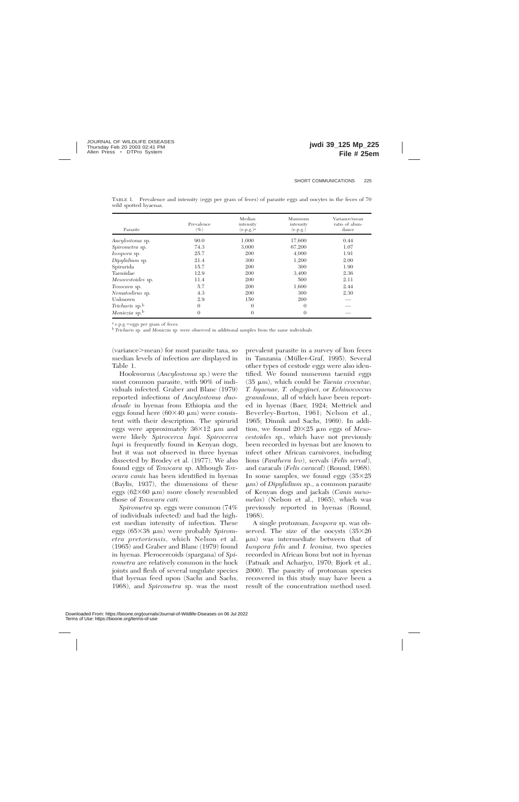| Parasite                          | Prevalence<br>$(\%)$ | Median<br>intensity<br>(e.p.g.) <sup>a</sup> | Maximum<br>intensity<br>(e.p.g.) | Variance/mean<br>ratio of abun-<br>dance |
|-----------------------------------|----------------------|----------------------------------------------|----------------------------------|------------------------------------------|
| Ancylostoma sp.                   | 90.0                 | 1,000                                        | 17,600                           | 0.44                                     |
| Spirometra sp.                    | 74.3                 | 3,000                                        | 67,200                           | 1.07                                     |
| <i>Isospora</i> sp.               | 25.7                 | 200                                          | 4,000                            | 1.91                                     |
| Dipylidium sp.                    | 21.4                 | 300                                          | 1,200                            | 2.00                                     |
| Spirurida                         | 15.7                 | 200                                          | 300                              | 1.90                                     |
| Taeniidae                         | 12.9                 | 200                                          | 3,400                            | 2.36                                     |
| Mesocestoides sp.                 | 11.4                 | 200                                          | 500                              | 2.11                                     |
| Toxocara sp.                      | 5.7                  | 200                                          | 1,600                            | 2.44                                     |
| Nematodirus sp.                   | 4.3                  | 200                                          | 300                              | 2.30                                     |
| Unknown                           | 2.9                  | 150                                          | 200                              |                                          |
| <i>Trichuris</i> sp. <sup>b</sup> | $\Omega$             | $\theta$                                     | $\Omega$                         |                                          |
| Moniezia sp.b                     | $\Omega$             | $\overline{0}$                               | $\Omega$                         |                                          |

TABLE 1. Prevalence and intensity (eggs per gram of feces) of parasite eggs and oocytes in the feces of 70 wild spotted hyaenas.

<sup>a</sup> e.p.g.=eggs per gram of feces.

<sup>b</sup> *Trichuris* sp. and *Moniezia* sp. were observed in additional samples from the same individuals.

(variance>mean) for most parasite taxa, so median levels of infection are displayed in Table 1.

Hookworms (*Ancylostoma* sp.) were the most common parasite, with 90% of individuals infected. Graber and Blanc (1979) reported infections of *Ancylostoma duodenale* in hyenas from Ethiopia and the eggs found here  $(60\times40 \mu m)$  were consistent with their description. The spirurid eggs were approximately  $36\times12$  µm and were likely *Spirocerca lupi. Spirocerca lupi* is frequently found in Kenyan dogs, but it was not observed in three hyenas dissected by Brodey et al. (1977). We also found eggs of *Toxocara* sp. Although *Toxocara canis* has been identified in hyenas (Baylis, 1937), the dimensions of these eggs ( $62\times60 \mu m$ ) more closely resembled those of *Toxocara cati.*

*Spirometra* sp. eggs were common (74% of individuals infected) and had the highest median intensity of infection. These eggs (65×38 μm) were probably *Spirometra pretoriensis,* which Nelson et al. (1965) and Graber and Blanc (1979) found in hyenas. Plerocercoids (spargana) of *Spirometra* are relatively common in the hock joints and flesh of several ungulate species that hyenas feed upon (Sachs and Sachs, 1968), and *Spirometra* sp. was the most

prevalent parasite in a survey of lion feces in Tanzania (Müller-Graf, 1995). Several other types of cestode eggs were also identified. We found numerous taeniid eggs (35 mm), which could be *Taenia crocutae, T. hyaenae, T. olngojinei,* or *Echinococcus granulosus,* all of which have been reported in hyenas (Baer, 1924; Mettrick and Beverley-Burton, 1961; Nelson et al., 1965; Dinnik and Sachs, 1969). In addition, we found  $20\times25$  µm eggs of *Mesocestoides* sp., which have not previously been recorded in hyenas but are known to infect other African carnivores, including lions (*Panthera leo*), servals (*Felis serval*), and caracals (*Felis caracal*) (Round, 1968). In some samples, we found eggs  $(35\times25)$ μm) of *Dipylidium* sp., a common parasite of Kenyan dogs and jackals (*Canis mesomelas*) (Nelson et al., 1965), which was previously reported in hyenas (Round, 1968).

A single protozoan, *Isospora* sp. was observed. The size of the oocysts  $(35\times26)$  $\mu$ m) was intermediate between that of *Isospora felis* and *I. leonina,* two species recorded in African lions but not in hyenas (Patnaik and Acharjyo, 1970; Bjork et al., 2000). The paucity of protozoan species recovered in this study may have been a result of the concentration method used.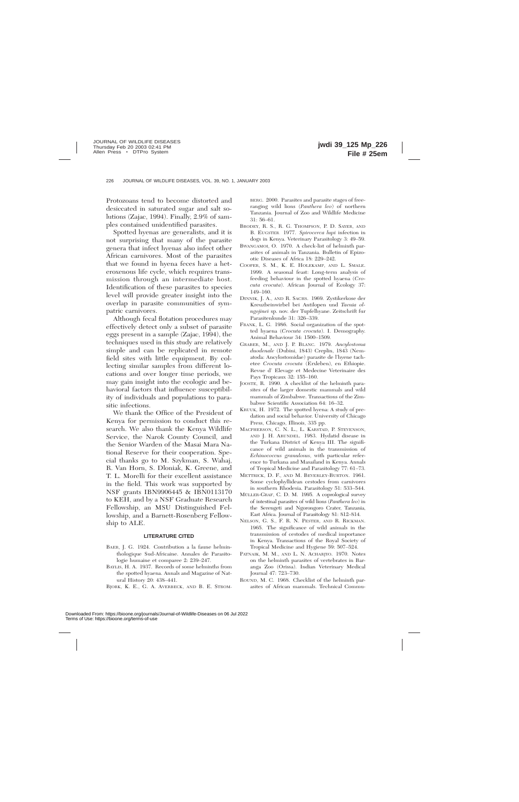Protozoans tend to become distorted and desiccated in saturated sugar and salt solutions (Zajac, 1994). Finally, 2.9% of samples contained unidentified parasites.

Spotted hyenas are generalists, and it is not surprising that many of the parasite genera that infect hyenas also infect other African carnivores. Most of the parasites that we found in hyena feces have a heteroxenous life cycle, which requires transmission through an intermediate host. Identification of these parasites to species level will provide greater insight into the overlap in parasite communities of sympatric carnivores.

Although fecal flotation procedures may effectively detect only a subset of parasite eggs present in a sample (Zajac, 1994), the techniques used in this study are relatively simple and can be replicated in remote field sites with little equipment. By collecting similar samples from different locations and over longer time periods, we may gain insight into the ecologic and behavioral factors that influence susceptibility of individuals and populations to parasitic infections.

We thank the Office of the President of Kenya for permission to conduct this research. We also thank the Kenya Wildlife Service, the Narok County Council, and the Senior Warden of the Masai Mara National Reserve for their cooperation. Special thanks go to M. Szykman, S. Wahaj, R. Van Horn, S. Dloniak, K. Greene, and T. L. Morelli for their excellent assistance in the field. This work was supported by NSF grants IBN9906445 & IBN0113170 to KEH, and by a NSF Graduate Research Fellowship, an MSU Distinguished Fellowship, and a Barnett-Rosenberg Fellowship to ALE.

## **LITERATURE CITED**

- BAER, J. G. 1924. Contribution a la faune helminthologique Sud-Africaine. Annales de Parasitologie humaine et comparee 2: 239–247.
- BAYLIS, H. A. 1937. Records of some helminths from the spotted hyaena. Annals and Magazine of Natural History 20: 438–441.
- BJORK, K. E., G. A. AVERBECK, AND B. E. STROM-

BERG. 2000. Parasites and parasite stages of freeranging wild lions (*Panthera leo*) of northern Tanzania. Journal of Zoo and Wildlife Medicine 31: 56–61.

- BRODEY, R. S., R. G. THOMPSON, P. D. SAYER, AND B. EUGSTER. 1977. *Spirocerca lupi* infection in dogs in Kenya. Veterinary Parasitology 3: 49–59.
- BWANGAMOI, O. 1970. A check-list of helminth parasites of animals in Tanzania. Bulletin of Epizootic Diseases of Africa 18: 229–242.
- COOPER, S. M., K. E. HOLEKAMP, AND L. SMALE. 1999. A seasonal feast: Long-term analysis of feeding behaviour in the spotted hyaena (*Crocuta crocuta*). African Journal of Ecology 37: 149–160.
- DINNIK, J. A., AND R. SACHS. 1969. Zystikerkose der Kreuzbeinwirbel bei Antilopen und *Taenia olngojinei* sp. nov. der Tupfelhyane. Zeitschrift fur Parasitenkunde 31: 326–339.
- FRANK, L. G. 1986. Social organization of the spotted hyaena (*Crocuta crocuta*). I. Demography. Animal Behaviour 34: 1500–1509.
- GRABER, M., AND J. P. BLANC. 1979. *Ancylostoma duodenale* (Dubini, 1843) Creplin, 1843 (Nematoda: Ancylostomidae) parasite de l'hyene tachetee *Crocuta crocuta* (Erxleben), en Ethiopie. Revue d' Elevage et Medecine Veterinaire des Pays Tropicaux 32: 155–160.
- JOOSTE, R. 1990. A checklist of the helminth parasites of the larger domestic mammals and wild mammals of Zimbabwe. Transactions of the Zimbabwe Scientific Association 64: 16–32.
- KRUUK, H. 1972. The spotted hyena: A study of predation and social behavior. University of Chicago Press, Chicago, Illinois, 335 pp.
- MACPHERSON, C. N. L., L. KARSTAD, P. STEVENSON, AND J. H. ARUNDEL. 1983. Hydatid disease in the Turkana District of Kenya III. The significance of wild animals in the transmission of *Echinococcus granulosus,* with particular reference to Turkana and Masailand in Kenya. Annals of Tropical Medicine and Parasitology 77: 61–73.
- METTRICK, D. F., AND M. BEVERLEY-BURTON. 1961. Some cyclophyllidean cestodes from carnivores in southern Rhodesia. Parasitology 51: 533–544.
- MÜLLER-GRAF, C. D. M. 1995. A coprological survey of intestinal parasites of wild lions (*Panthera leo*) in the Serengeti and Ngorongoro Crater, Tanzania, East Africa. Journal of Parasitology 81: 812–814.
- NELSON, G. S., F. R. N. PESTER, AND R. RICKMAN. 1965. The significance of wild animals in the transmission of cestodes of medical importance in Kenya. Transactions of the Royal Society of Tropical Medicine and Hygiene 59: 507–524.
- PATNAIK, M. M., AND L. N. ACHARJYO. 1970. Notes on the helminth parasites of vertebrates in Baranga Zoo (Orissa). Indian Veterinary Medical Journal 47: 723–730.
- ROUND, M. C. 1968. Checklist of the helminth parasites of African mammals. Technical Commu-